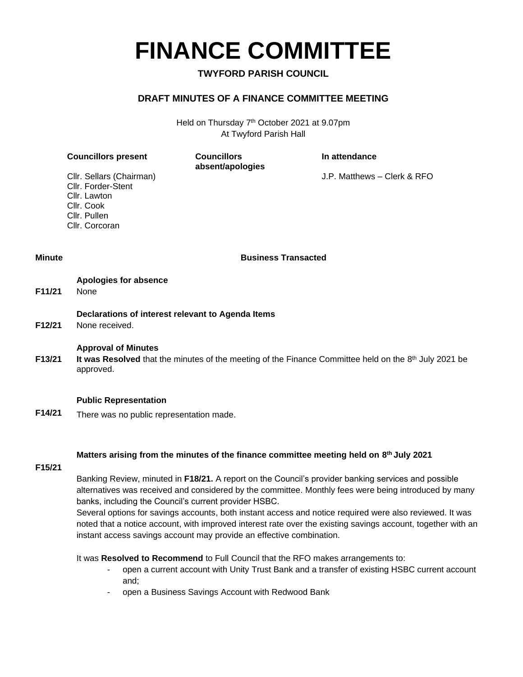# **FINANCE COMMITTEE**

### **TWYFORD PARISH COUNCIL**

### **DRAFT MINUTES OF A FINANCE COMMITTEE MEETING**

Held on Thursday 7<sup>th</sup> October 2021 at 9.07pm At Twyford Parish Hall

| <b>Councillors present</b>                     | <b>Councillors</b><br>absent/apologies | In attendance               |
|------------------------------------------------|----------------------------------------|-----------------------------|
| Cllr. Sellars (Chairman)<br>Cllr. Forder-Stent |                                        | J.P. Matthews - Clerk & RFO |
| Cllr. Lawton<br>Cllr. Cook                     |                                        |                             |
| Cllr. Pullen                                   |                                        |                             |

**Minute Business Transacted**

|                     | Apologies for absence |
|---------------------|-----------------------|
| F <sub>11</sub> /21 | <b>None</b>           |

Cllr. Corcoran

**Declarations of interest relevant to Agenda Items**

**F12/21** None received.

### **Approval of Minutes**

**F13/21** It was Resolved that the minutes of the meeting of the Finance Committee held on the 8<sup>th</sup> July 2021 be approved.

### **Public Representation**

**F14/21** There was no public representation made.

### **Matters arising from the minutes of the finance committee meeting held on 8 th July 2021**

### **F15/21**

Banking Review, minuted in **F18/21.** A report on the Council's provider banking services and possible alternatives was received and considered by the committee. Monthly fees were being introduced by many banks, including the Council's current provider HSBC.

Several options for savings accounts, both instant access and notice required were also reviewed. It was noted that a notice account, with improved interest rate over the existing savings account, together with an instant access savings account may provide an effective combination.

It was **Resolved to Recommend** to Full Council that the RFO makes arrangements to:

- open a current account with Unity Trust Bank and a transfer of existing HSBC current account and;
- open a Business Savings Account with Redwood Bank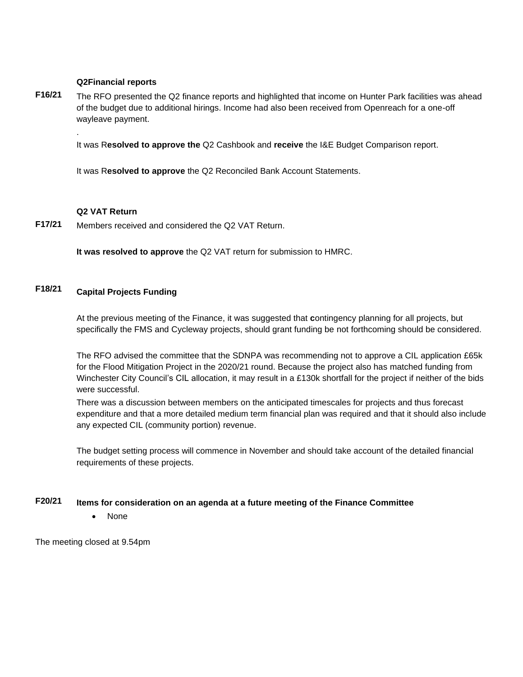### **Q2Financial reports**

**F16/21** The RFO presented the Q2 finance reports and highlighted that income on Hunter Park facilities was ahead of the budget due to additional hirings. Income had also been received from Openreach for a one-off wayleave payment.

It was R**esolved to approve the** Q2 Cashbook and **receive** the I&E Budget Comparison report.

It was R**esolved to approve** the Q2 Reconciled Bank Account Statements.

### **Q2 VAT Return**

.

**F17/21** Members received and considered the Q2 VAT Return.

**It was resolved to approve** the Q2 VAT return for submission to HMRC.

### **F18/21 Capital Projects Funding**

At the previous meeting of the Finance, it was suggested that **c**ontingency planning for all projects, but specifically the FMS and Cycleway projects, should grant funding be not forthcoming should be considered.

The RFO advised the committee that the SDNPA was recommending not to approve a CIL application £65k for the Flood Mitigation Project in the 2020/21 round. Because the project also has matched funding from Winchester City Council's CIL allocation, it may result in a £130k shortfall for the project if neither of the bids were successful.

There was a discussion between members on the anticipated timescales for projects and thus forecast expenditure and that a more detailed medium term financial plan was required and that it should also include any expected CIL (community portion) revenue.

The budget setting process will commence in November and should take account of the detailed financial requirements of these projects.

### **F20/21 Items for consideration on an agenda at a future meeting of the Finance Committee**

• None

The meeting closed at 9.54pm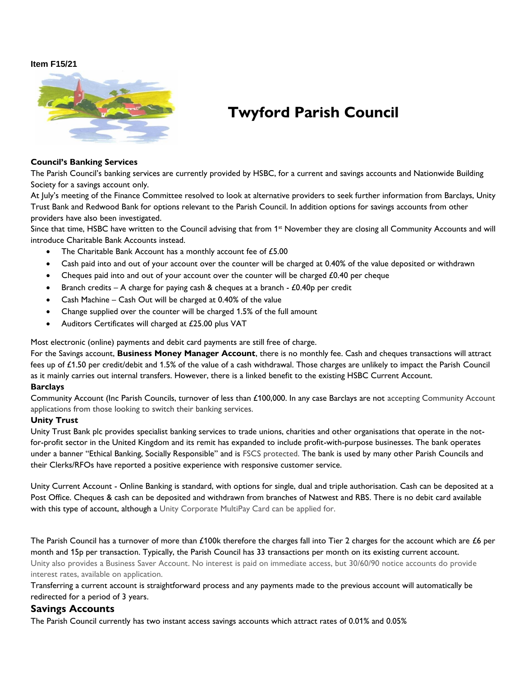### **Item F15/21**



### **Twyford Parish Council**

#### **Council's Banking Services**

The Parish Council's banking services are currently provided by HSBC, for a current and savings accounts and Nationwide Building Society for a savings account only.

At July's meeting of the Finance Committee resolved to look at alternative providers to seek further information from Barclays, Unity Trust Bank and Redwood Bank for options relevant to the Parish Council. In addition options for savings accounts from other providers have also been investigated.

Since that time, HSBC have written to the Council advising that from 1<sup>st</sup> November they are closing all Community Accounts and will introduce Charitable Bank Accounts instead.

- The Charitable Bank Account has a monthly account fee of £5.00
- Cash paid into and out of your account over the counter will be charged at 0.40% of the value deposited or withdrawn
- Cheques paid into and out of your account over the counter will be charged £0.40 per cheque
- Branch credits A charge for paying cash & cheques at a branch  $£0.40p$  per credit
- Cash Machine Cash Out will be charged at 0.40% of the value
- Change supplied over the counter will be charged 1.5% of the full amount
- Auditors Certificates will charged at £25.00 plus VAT

Most electronic (online) payments and debit card payments are still free of charge.

For the Savings account, **Business Money Manager Account**, there is no monthly fee. Cash and cheques transactions will attract fees up of £1.50 per credit/debit and 1.5% of the value of a cash withdrawal. Those charges are unlikely to impact the Parish Council as it mainly carries out internal transfers. However, there is a linked benefit to the existing HSBC Current Account.

### **Barclays**

Community Account (Inc Parish Councils, turnover of less than £100,000. In any case Barclays are not accepting Community Account applications from those looking to switch their banking services.

### **Unity Trust**

Unity Trust Bank plc provides specialist banking services to trade unions, charities and other organisations that operate in the notfor-profit sector in the United Kingdom and its remit has expanded to include profit-with-purpose businesses. The bank operates under a banner "Ethical Banking, Socially Responsible" and is FSCS protected. The bank is used by many other Parish Councils and their Clerks/RFOs have reported a positive experience with responsive customer service.

Unity Current Account - Online Banking is standard, with options for single, dual and triple authorisation. Cash can be deposited at a Post Office. Cheques & cash can be deposited and withdrawn from branches of Natwest and RBS. There is no debit card available with this type of account, although a Unity Corporate MultiPay Card can be applied for.

The Parish Council has a turnover of more than £100k therefore the charges fall into Tier 2 charges for the account which are £6 per month and 15p per transaction. Typically, the Parish Council has 33 transactions per month on its existing current account. Unity also provides a Business Saver Account. No interest is paid on immediate access, but 30/60/90 notice accounts do provide interest rates, available on application.

Transferring a current account is straightforward process and any payments made to the previous account will automatically be redirected for a period of 3 years.

### **Savings Accounts**

The Parish Council currently has two instant access savings accounts which attract rates of 0.01% and 0.05%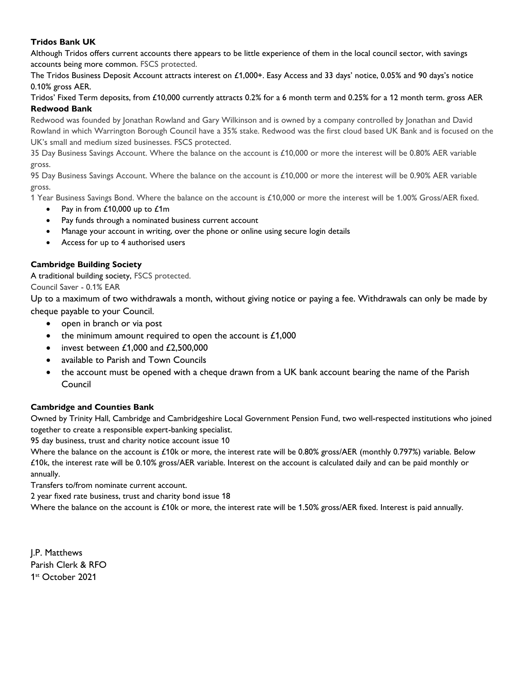### **Tridos Bank UK**

Although Tridos offers current accounts there appears to be little experience of them in the local council sector, with savings accounts being more common. FSCS protected.

The Tridos Business Deposit Account attracts interest on £1,000+. Easy Access and 33 days' notice, 0.05% and 90 days's notice 0.10% gross AER.

Tridos' Fixed Term deposits, from £10,000 currently attracts 0.2% for a 6 month term and 0.25% for a 12 month term. gross AER **Redwood Bank**

Redwood was founded by Jonathan Rowland and Gary Wilkinson and is owned by a company controlled by Jonathan and David Rowland in which Warrington Borough Council have a 35% stake. Redwood was the first cloud based UK Bank and is focused on the UK's small and medium sized businesses. FSCS protected.

35 Day Business Savings Account. Where the balance on the account is £10,000 or more the interest will be 0.80% AER variable gross.

95 Day Business Savings Account. Where the balance on the account is £10,000 or more the interest will be 0.90% AER variable gross.

1 Year Business Savings Bond. Where the balance on the account is £10,000 or more the interest will be 1.00% Gross/AER fixed.

- Pay in from £10,000 up to £1m
- Pay funds through a nominated business current account
- Manage your account in writing, over the phone or online using secure login details
- Access for up to 4 authorised users

### **Cambridge Building Society**

A traditional building society, FSCS protected. Council Saver - 0.1% EAR

Up to a maximum of two withdrawals a month, without giving notice or paying a fee. Withdrawals can only be made by cheque payable to your Council.

- open in branch or via post
- the minimum amount required to open the account is £1,000
- invest between  $£1,000$  and  $£2,500,000$
- available to Parish and Town Councils
- the account must be opened with a cheque drawn from a UK bank account bearing the name of the Parish Council

### **Cambridge and Counties Bank**

Owned by Trinity Hall, Cambridge and Cambridgeshire Local Government Pension Fund, two well-respected institutions who joined together to create a responsible expert-banking specialist.

95 day business, trust and charity notice account issue 10

Where the balance on the account is £10k or more, the interest rate will be 0.80% gross/AER (monthly 0.797%) variable. Below £10k, the interest rate will be 0.10% gross/AER variable. Interest on the account is calculated daily and can be paid monthly or annually.

Transfers to/from nominate current account.

2 year fixed rate business, trust and charity bond issue 18

Where the balance on the account is £10k or more, the interest rate will be 1.50% gross/AER fixed. Interest is paid annually.

J.P. Matthews Parish Clerk & RFO 1 st October 2021